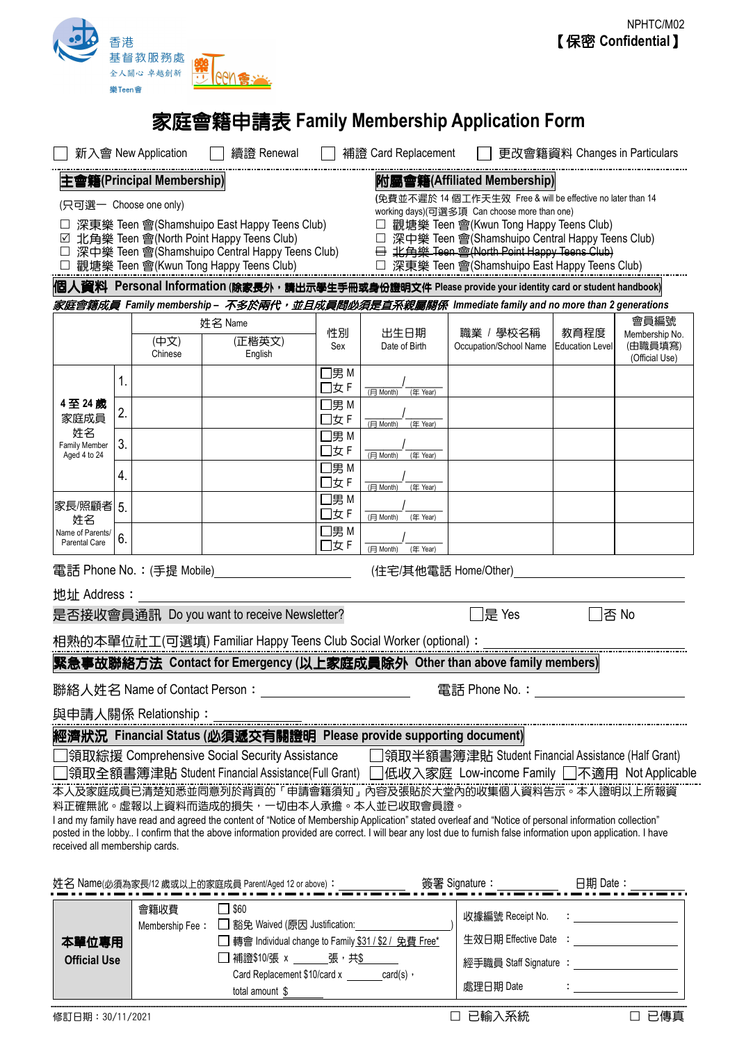

# 家庭會籍申請表 **Family Membership Application Form**

|                                                                                                                                                                                                                                                                                                                         | 新入會 New Application                          |                                                                                                         | 續證 Renewal                               |                   | 補證 Card Replacement                                                                                                                         |                        | 更改會籍資料 Changes in Particulars |                           |
|-------------------------------------------------------------------------------------------------------------------------------------------------------------------------------------------------------------------------------------------------------------------------------------------------------------------------|----------------------------------------------|---------------------------------------------------------------------------------------------------------|------------------------------------------|-------------------|---------------------------------------------------------------------------------------------------------------------------------------------|------------------------|-------------------------------|---------------------------|
| 附屬會籍(Affiliated Membership)<br>主會籍(Principal Membership)                                                                                                                                                                                                                                                                |                                              |                                                                                                         |                                          |                   |                                                                                                                                             |                        |                               |                           |
| (免費並不遲於 14 個工作天生效 Free & will be effective no later than 14<br>(只可選一 Choose one only)<br>working days)(可選多項 Can choose more than one)                                                                                                                                                                                   |                                              |                                                                                                         |                                          |                   |                                                                                                                                             |                        |                               |                           |
|                                                                                                                                                                                                                                                                                                                         | 深東樂 Teen 會(Shamshuipo East Happy Teens Club) |                                                                                                         | □ 觀塘樂 Teen 會(Kwun Tong Happy Teens Club) |                   |                                                                                                                                             |                        |                               |                           |
| ☑ 北角樂 Teen 會(North Point Happy Teens Club)<br>深中樂 Teen 會(Shamshuipo Central Happy Teens Club)                                                                                                                                                                                                                           |                                              |                                                                                                         |                                          |                   | □ 深中樂 Teen 會(Shamshuipo Central Happy Teens Club)<br>$\ominus$ : $\downarrow$ $\oplus$ $\cong$ Teen $\oplus$ (North Point Happy Teens Club) |                        |                               |                           |
|                                                                                                                                                                                                                                                                                                                         | 觀塘樂 Teen 會(Kwun Tong Happy Teens Club)       |                                                                                                         |                                          |                   | □ 深東樂 Teen 會(Shamshuipo East Happy Teens Club)                                                                                              |                        |                               |                           |
| 個人資料 Personal Information (除家長外,請出示學生手冊或身份證明文件 Please provide your identity card or student handbook)                                                                                                                                                                                                                   |                                              |                                                                                                         |                                          |                   |                                                                                                                                             |                        |                               |                           |
| 家庭會籍成員 Family membership – <i>不多於兩代,並且成員間必須是直系親團關係</i> Immediate family and no more than 2 generations                                                                                                                                                                                                                  |                                              |                                                                                                         |                                          |                   |                                                                                                                                             |                        |                               |                           |
|                                                                                                                                                                                                                                                                                                                         |                                              | 姓名 Name                                                                                                 |                                          |                   | 出生日期                                                                                                                                        | 職業 / 學校名稱              | 教育程度                          | 會員編號<br>Membership No.    |
|                                                                                                                                                                                                                                                                                                                         | (中文)<br>Chinese                              |                                                                                                         | (正楷英文)<br>English                        | 性別<br>Sex         | Date of Birth                                                                                                                               | Occupation/School Name | <b>Education Level</b>        | (由職員填寫)<br>(Official Use) |
|                                                                                                                                                                                                                                                                                                                         | 1.                                           |                                                                                                         |                                          | □男 M<br>□女 F      | (月 Month)<br>(年 Year)                                                                                                                       |                        |                               |                           |
| 4至24歲<br>家庭成員                                                                                                                                                                                                                                                                                                           | 2.                                           |                                                                                                         |                                          | □男 M<br>□女F       |                                                                                                                                             |                        |                               |                           |
| 姓名<br>Family Member<br>Aged 4 to 24                                                                                                                                                                                                                                                                                     |                                              |                                                                                                         |                                          | □男 M              | (月 Month)<br>(年 Year)                                                                                                                       |                        |                               |                           |
|                                                                                                                                                                                                                                                                                                                         | 3.                                           |                                                                                                         |                                          | □女F               | (月 Month)<br>(年 Year)                                                                                                                       |                        |                               |                           |
|                                                                                                                                                                                                                                                                                                                         | 4.                                           |                                                                                                         |                                          | $\Box$ 男 M<br>□女F | (月 Month)<br>(年 Year)                                                                                                                       |                        |                               |                           |
| 家長/照顧者 5.                                                                                                                                                                                                                                                                                                               |                                              |                                                                                                         |                                          | $\Box$ 男 M        |                                                                                                                                             |                        |                               |                           |
| 姓名<br>Name of Parents/                                                                                                                                                                                                                                                                                                  |                                              |                                                                                                         |                                          | □女F<br>□男 M       | (月 Month)<br>(年 Year)                                                                                                                       |                        |                               |                           |
| Parental Care                                                                                                                                                                                                                                                                                                           | 6.                                           |                                                                                                         |                                          | □女F               | (月 Month)<br>(年 Year)                                                                                                                       |                        |                               |                           |
| 電話 Phone No.: (手提 Mobile)<br>(住宅/其他電話 Home/Other)                                                                                                                                                                                                                                                                       |                                              |                                                                                                         |                                          |                   |                                                                                                                                             |                        |                               |                           |
| 地址 Address:                                                                                                                                                                                                                                                                                                             |                                              |                                                                                                         |                                          |                   |                                                                                                                                             |                        |                               |                           |
| 是否接收會員通訊 Do you want to receive Newsletter?                                                                                                                                                                                                                                                                             |                                              |                                                                                                         |                                          |                   |                                                                                                                                             | ]是 Yes                 | l否 No                         |                           |
| 相熟的本單位社工(可選填) Familiar Happy Teens Club Social Worker (optional):                                                                                                                                                                                                                                                       |                                              |                                                                                                         |                                          |                   |                                                                                                                                             |                        |                               |                           |
| 緊急事故聯絡方法 Contact for Emergency (以上家庭成員除外 Other than above family members)                                                                                                                                                                                                                                               |                                              |                                                                                                         |                                          |                   |                                                                                                                                             |                        |                               |                           |
| 聯絡人姓名 Name of Contact Person:<br>電話 Phone No.:                                                                                                                                                                                                                                                                          |                                              |                                                                                                         |                                          |                   |                                                                                                                                             |                        |                               |                           |
| 與申請人關係 Relationship:                                                                                                                                                                                                                                                                                                    |                                              |                                                                                                         |                                          |                   |                                                                                                                                             |                        |                               |                           |
|                                                                                                                                                                                                                                                                                                                         |                                              |                                                                                                         |                                          |                   | 經濟狀況 Financial Status (必須遞交有關證明 Please provide supporting document)                                                                         |                        |                               |                           |
| 領取綜援 Comprehensive Social Security Assistance<br>□領取半額書簿津貼 Student Financial Assistance (Half Grant)                                                                                                                                                                                                                    |                                              |                                                                                                         |                                          |                   |                                                                                                                                             |                        |                               |                           |
| 領取全額書簿津貼 Student Financial Assistance(Full Grant) []低收入家庭 Low-income Family []不適用 Not Applicable<br>本人及家庭成員已清楚知悉並同意列於背頁的「申請會籍須知」內容及張貼於大堂內的收集個人資料告示。本人證明以上所報資                                                                                                                                                            |                                              |                                                                                                         |                                          |                   |                                                                                                                                             |                        |                               |                           |
| 料正確無訛。虛報以上資料而造成的損失,一切由本人承擔。本人並已收取會員證。                                                                                                                                                                                                                                                                                   |                                              |                                                                                                         |                                          |                   |                                                                                                                                             |                        |                               |                           |
| I and my family have read and agreed the content of "Notice of Membership Application" stated overleaf and "Notice of personal information collection"<br>posted in the lobby I confirm that the above information provided are correct. I will bear any lost due to furnish false information upon application. I have |                                              |                                                                                                         |                                          |                   |                                                                                                                                             |                        |                               |                           |
|                                                                                                                                                                                                                                                                                                                         | received all membership cards.               |                                                                                                         |                                          |                   |                                                                                                                                             |                        |                               |                           |
|                                                                                                                                                                                                                                                                                                                         |                                              |                                                                                                         |                                          |                   |                                                                                                                                             |                        |                               |                           |
| 簽署 Signature:<br>日期 Date:<br>姓名 Name(必須為家長/12 歲或以上的家庭成員 Parent/Aged 12 or above): ____                                                                                                                                                                                                                                  |                                              |                                                                                                         |                                          |                   |                                                                                                                                             |                        |                               |                           |
|                                                                                                                                                                                                                                                                                                                         | 會籍收費                                         | $\Box$ \$60                                                                                             |                                          |                   |                                                                                                                                             | 收據編號 Receipt No.       |                               |                           |
| 本單位專用                                                                                                                                                                                                                                                                                                                   |                                              | 豁免 Waived (原因 Justification:<br>Membership Fee:<br>轉會 Individual change to Family \$31 / \$2 / 免費 Free* |                                          |                   |                                                                                                                                             | 生效日期 Effective Date    |                               |                           |
| 張,共<br>補證\$10/張 x<br><b>Official Use</b><br>Card Replacement \$10/card x<br>$card(s)$ ,                                                                                                                                                                                                                                 |                                              |                                                                                                         |                                          |                   |                                                                                                                                             | 經手職員 Staff Signature : |                               |                           |
|                                                                                                                                                                                                                                                                                                                         |                                              |                                                                                                         |                                          |                   |                                                                                                                                             |                        |                               |                           |

L

total amount \$

處理日期 Date